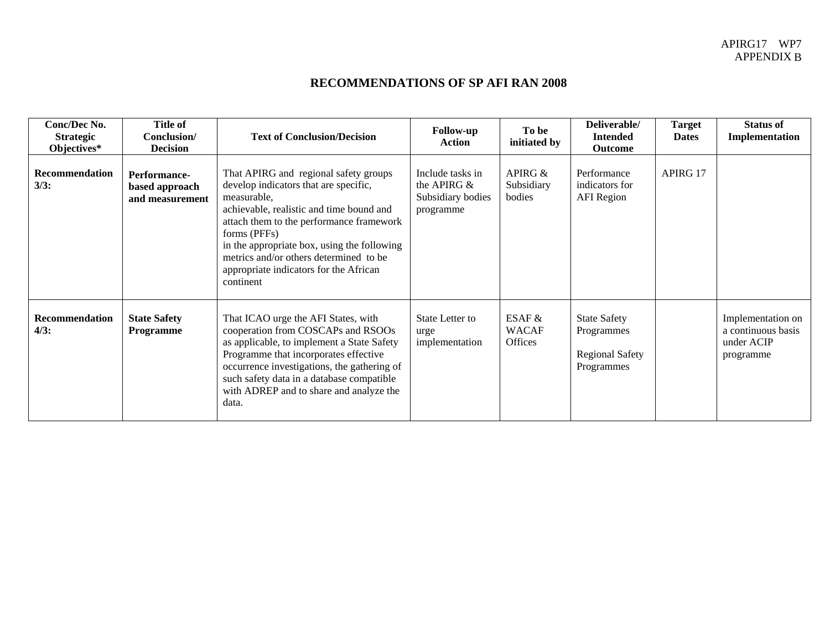## **RECOMMENDATIONS OF SP AFI RAN 2008**

| Conc/Dec No.<br><b>Strategic</b><br>Objectives* | Title of<br>Conclusion/<br><b>Decision</b>        | <b>Text of Conclusion/Decision</b>                                                                                                                                                                                                                                                                                                                    | <b>Follow-up</b><br>Action                                           | To be<br>initiated by               | Deliverable/<br><b>Intended</b><br>Outcome                                | <b>Target</b><br><b>Dates</b> | <b>Status of</b><br>Implementation                                 |
|-------------------------------------------------|---------------------------------------------------|-------------------------------------------------------------------------------------------------------------------------------------------------------------------------------------------------------------------------------------------------------------------------------------------------------------------------------------------------------|----------------------------------------------------------------------|-------------------------------------|---------------------------------------------------------------------------|-------------------------------|--------------------------------------------------------------------|
| Recommendation<br>3/3:                          | Performance-<br>based approach<br>and measurement | That APIRG and regional safety groups<br>develop indicators that are specific,<br>measurable,<br>achievable, realistic and time bound and<br>attach them to the performance framework<br>forms (PFFs)<br>in the appropriate box, using the following<br>metrics and/or others determined to be<br>appropriate indicators for the African<br>continent | Include tasks in<br>the APIRG $\&$<br>Subsidiary bodies<br>programme | APIRG $&$<br>Subsidiary<br>bodies   | Performance<br>indicators for<br><b>AFI</b> Region                        | APIRG 17                      |                                                                    |
| Recommendation<br>4/3:                          | <b>State Safety</b><br>Programme                  | That ICAO urge the AFI States, with<br>cooperation from COSCAPs and RSOOs<br>as applicable, to implement a State Safety<br>Programme that incorporates effective<br>occurrence investigations, the gathering of<br>such safety data in a database compatible<br>with ADREP and to share and analyze the<br>data.                                      | State Letter to<br>urge<br>implementation                            | ESAF $&$<br><b>WACAF</b><br>Offices | <b>State Safety</b><br>Programmes<br><b>Regional Safety</b><br>Programmes |                               | Implementation on<br>a continuous basis<br>under ACIP<br>programme |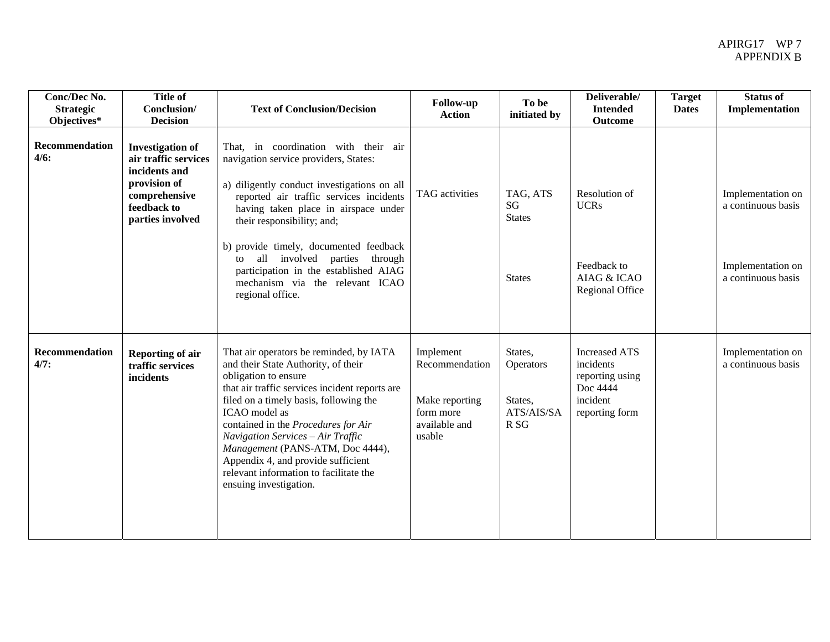| Conc/Dec No.<br><b>Strategic</b><br>Objectives* | <b>Title of</b><br>Conclusion/<br><b>Decision</b>                                                                                    | <b>Text of Conclusion/Decision</b>                                                                                                                                                                                                                                                                                                                                                                                                            | <b>Follow-up</b><br><b>Action</b>                                                     | To be<br>initiated by                                                   | Deliverable/<br><b>Intended</b><br>Outcome                                                     | <b>Target</b><br><b>Dates</b> | <b>Status of</b><br>Implementation                                                 |
|-------------------------------------------------|--------------------------------------------------------------------------------------------------------------------------------------|-----------------------------------------------------------------------------------------------------------------------------------------------------------------------------------------------------------------------------------------------------------------------------------------------------------------------------------------------------------------------------------------------------------------------------------------------|---------------------------------------------------------------------------------------|-------------------------------------------------------------------------|------------------------------------------------------------------------------------------------|-------------------------------|------------------------------------------------------------------------------------|
| Recommendation<br>4/6:                          | <b>Investigation of</b><br>air traffic services<br>incidents and<br>provision of<br>comprehensive<br>feedback to<br>parties involved | That, in coordination with their air<br>navigation service providers, States:<br>a) diligently conduct investigations on all<br>reported air traffic services incidents<br>having taken place in airspace under<br>their responsibility; and;<br>b) provide timely, documented feedback<br>involved parties<br>all<br>through<br>to<br>participation in the established AIAG<br>mechanism via the relevant ICAO<br>regional office.           | TAG activities                                                                        | TAG, ATS<br>SG<br><b>States</b><br><b>States</b>                        | Resolution of<br><b>UCRs</b><br>Feedback to<br>AIAG & ICAO<br>Regional Office                  |                               | Implementation on<br>a continuous basis<br>Implementation on<br>a continuous basis |
| <b>Recommendation</b><br>4/7:                   | <b>Reporting of air</b><br>traffic services<br>incidents                                                                             | That air operators be reminded, by IATA<br>and their State Authority, of their<br>obligation to ensure<br>that air traffic services incident reports are<br>filed on a timely basis, following the<br>ICAO model as<br>contained in the Procedures for Air<br>Navigation Services - Air Traffic<br>Management (PANS-ATM, Doc 4444),<br>Appendix 4, and provide sufficient<br>relevant information to facilitate the<br>ensuing investigation. | Implement<br>Recommendation<br>Make reporting<br>form more<br>available and<br>usable | States,<br><b>Operators</b><br>States,<br>ATS/AIS/SA<br>R <sub>SG</sub> | <b>Increased ATS</b><br>incidents<br>reporting using<br>Doc 4444<br>incident<br>reporting form |                               | Implementation on<br>a continuous basis                                            |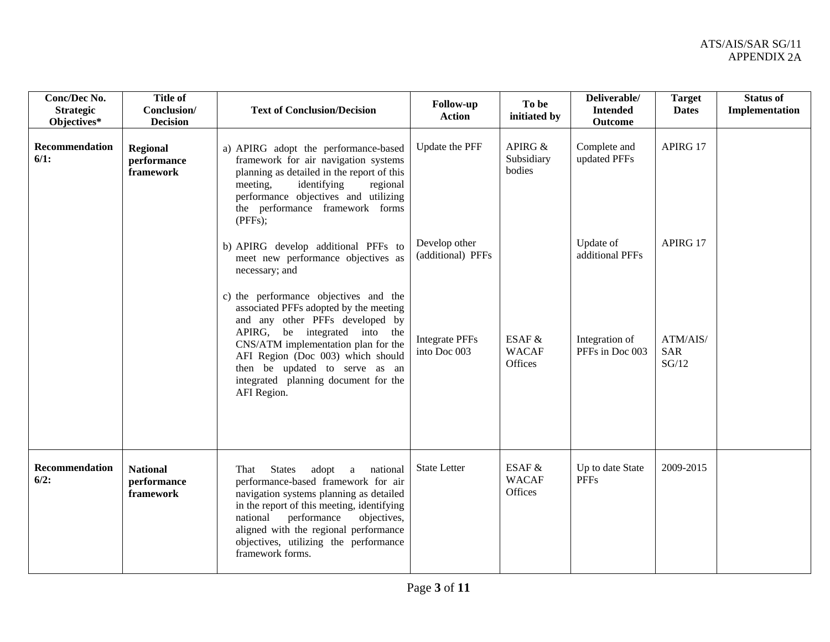| Conc/Dec No.<br><b>Strategic</b><br>Objectives* | <b>Title of</b><br>Conclusion/<br><b>Decision</b> | <b>Text of Conclusion/Decision</b>                                                                                                                                                                                                                                                                                           | <b>Follow-up</b><br><b>Action</b>     | To be<br>initiated by               | Deliverable/<br><b>Intended</b><br><b>Outcome</b> | <b>Target</b><br><b>Dates</b>   | <b>Status of</b><br><b>Implementation</b> |
|-------------------------------------------------|---------------------------------------------------|------------------------------------------------------------------------------------------------------------------------------------------------------------------------------------------------------------------------------------------------------------------------------------------------------------------------------|---------------------------------------|-------------------------------------|---------------------------------------------------|---------------------------------|-------------------------------------------|
| Recommendation<br>$6/1$ :                       | <b>Regional</b><br>performance<br>framework       | a) APIRG adopt the performance-based<br>framework for air navigation systems<br>planning as detailed in the report of this<br>identifying<br>meeting,<br>regional<br>performance objectives and utilizing<br>the performance framework forms<br>(PFFs);                                                                      | Update the PFF                        | APIRG &<br>Subsidiary<br>bodies     | Complete and<br>updated PFFs                      | APIRG 17                        |                                           |
|                                                 |                                                   | b) APIRG develop additional PFFs to<br>meet new performance objectives as<br>necessary; and                                                                                                                                                                                                                                  | Develop other<br>(additional) PFFs    |                                     | Update of<br>additional PFFs                      | APIRG 17                        |                                           |
|                                                 |                                                   | c) the performance objectives and the<br>associated PFFs adopted by the meeting<br>and any other PFFs developed by<br>APIRG, be integrated into the<br>CNS/ATM implementation plan for the<br>AFI Region (Doc 003) which should<br>then be updated to serve as an<br>integrated planning document for the<br>AFI Region.     | <b>Integrate PFFs</b><br>into Doc 003 | ESAF &<br><b>WACAF</b><br>Offices   | Integration of<br>PFFs in Doc 003                 | ATM/AIS/<br><b>SAR</b><br>SG/12 |                                           |
| <b>Recommendation</b><br>6/2:                   | <b>National</b><br>performance<br>framework       | <b>States</b><br>adopt a<br>national<br>That<br>performance-based framework for air<br>navigation systems planning as detailed<br>in the report of this meeting, identifying<br>performance<br>objectives,<br>national<br>aligned with the regional performance<br>objectives, utilizing the performance<br>framework forms. | <b>State Letter</b>                   | ESAF $&$<br><b>WACAF</b><br>Offices | Up to date State<br><b>PFFs</b>                   | 2009-2015                       |                                           |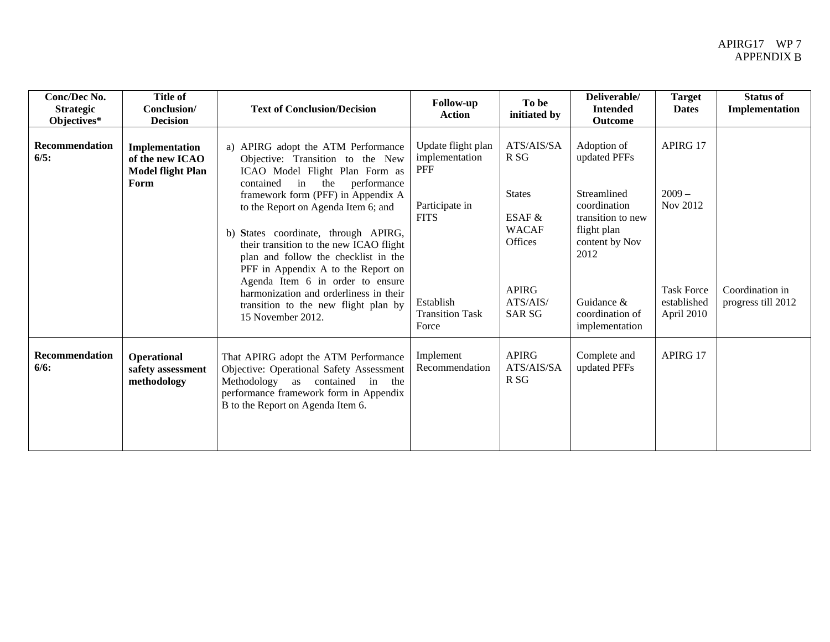| Conc/Dec No.<br><b>Strategic</b><br>Objectives* | <b>Title of</b><br>Conclusion/<br><b>Decision</b>                     | <b>Text of Conclusion/Decision</b>                                                                                                                                                                                                                                                                                                                                                                                                                                                                                                         | <b>Follow-up</b><br><b>Action</b>                                                                                                   | To be<br>initiated by                                                                                                              | Deliverable/<br><b>Intended</b><br>Outcome                                                                                                                                  | <b>Target</b><br><b>Dates</b>                                                      | <b>Status of</b><br>Implementation    |
|-------------------------------------------------|-----------------------------------------------------------------------|--------------------------------------------------------------------------------------------------------------------------------------------------------------------------------------------------------------------------------------------------------------------------------------------------------------------------------------------------------------------------------------------------------------------------------------------------------------------------------------------------------------------------------------------|-------------------------------------------------------------------------------------------------------------------------------------|------------------------------------------------------------------------------------------------------------------------------------|-----------------------------------------------------------------------------------------------------------------------------------------------------------------------------|------------------------------------------------------------------------------------|---------------------------------------|
| <b>Recommendation</b><br>6/5:                   | Implementation<br>of the new ICAO<br><b>Model flight Plan</b><br>Form | a) APIRG adopt the ATM Performance<br>Objective: Transition to the New<br>ICAO Model Flight Plan Form as<br>in<br>contained<br>the<br>performance<br>framework form (PFF) in Appendix A<br>to the Report on Agenda Item 6; and<br>b) States coordinate, through APIRG,<br>their transition to the new ICAO flight<br>plan and follow the checklist in the<br>PFF in Appendix A to the Report on<br>Agenda Item 6 in order to ensure<br>harmonization and orderliness in their<br>transition to the new flight plan by<br>15 November 2012. | Update flight plan<br>implementation<br><b>PFF</b><br>Participate in<br><b>FITS</b><br>Establish<br><b>Transition Task</b><br>Force | ATS/AIS/SA<br>R <sub>SG</sub><br><b>States</b><br>ESAF $&$<br><b>WACAF</b><br>Offices<br><b>APIRG</b><br>ATS/ATS/<br><b>SAR SG</b> | Adoption of<br>updated PFFs<br>Streamlined<br>coordination<br>transition to new<br>flight plan<br>content by Nov<br>2012<br>Guidance &<br>coordination of<br>implementation | APIRG 17<br>$2009 -$<br>Nov 2012<br><b>Task Force</b><br>established<br>April 2010 | Coordination in<br>progress till 2012 |
| <b>Recommendation</b><br>6/6:                   | <b>Operational</b><br>safety assessment<br>methodology                | That APIRG adopt the ATM Performance<br>Objective: Operational Safety Assessment<br>Methodology<br>as contained in<br>the<br>performance framework form in Appendix<br>B to the Report on Agenda Item 6.                                                                                                                                                                                                                                                                                                                                   | Implement<br>Recommendation                                                                                                         | <b>APIRG</b><br>ATS/AIS/SA<br>R SG                                                                                                 | Complete and<br>updated PFFs                                                                                                                                                | APIRG 17                                                                           |                                       |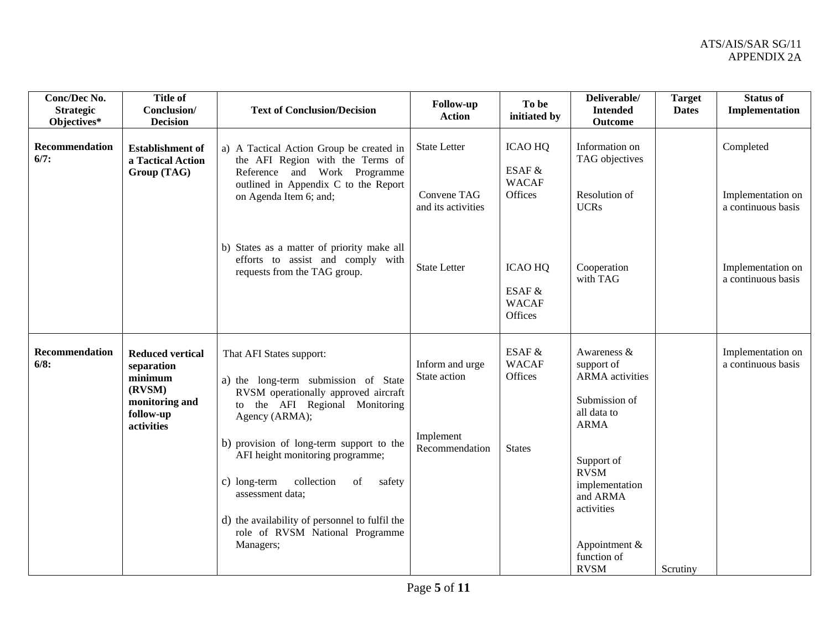| Conc/Dec No.<br><b>Strategic</b><br>Objectives* | <b>Title of</b><br>Conclusion/<br><b>Decision</b>                                                       | <b>Text of Conclusion/Decision</b>                                                                                                                                                                                                                                                                                                                                                                               | <b>Follow-up</b><br><b>Action</b>                              | To be<br>initiated by                               | Deliverable/<br><b>Intended</b><br><b>Outcome</b>                                                                                                                                            | <b>Target</b><br><b>Dates</b> | <b>Status of</b><br>Implementation      |
|-------------------------------------------------|---------------------------------------------------------------------------------------------------------|------------------------------------------------------------------------------------------------------------------------------------------------------------------------------------------------------------------------------------------------------------------------------------------------------------------------------------------------------------------------------------------------------------------|----------------------------------------------------------------|-----------------------------------------------------|----------------------------------------------------------------------------------------------------------------------------------------------------------------------------------------------|-------------------------------|-----------------------------------------|
| Recommendation<br>6/7:                          | <b>Establishment</b> of<br>a Tactical Action<br>Group (TAG)                                             | a) A Tactical Action Group be created in<br>the AFI Region with the Terms of<br>Reference and Work Programme<br>outlined in Appendix C to the Report                                                                                                                                                                                                                                                             | <b>State Letter</b>                                            | <b>ICAO HQ</b><br>ESAF &<br><b>WACAF</b>            | Information on<br>TAG objectives                                                                                                                                                             |                               | Completed                               |
|                                                 |                                                                                                         | on Agenda Item 6; and;                                                                                                                                                                                                                                                                                                                                                                                           | Convene TAG<br>and its activities                              | Offices                                             | Resolution of<br><b>UCRs</b>                                                                                                                                                                 |                               | Implementation on<br>a continuous basis |
|                                                 |                                                                                                         | b) States as a matter of priority make all<br>efforts to assist and comply with<br>requests from the TAG group.                                                                                                                                                                                                                                                                                                  | <b>State Letter</b>                                            | <b>ICAO HQ</b><br>ESAF &<br><b>WACAF</b><br>Offices | Cooperation<br>with TAG                                                                                                                                                                      |                               | Implementation on<br>a continuous basis |
| Recommendation<br>6/8:                          | <b>Reduced vertical</b><br>separation<br>minimum<br>(RVSM)<br>monitoring and<br>follow-up<br>activities | That AFI States support:<br>a) the long-term submission of State<br>RVSM operationally approved aircraft<br>to the AFI Regional Monitoring<br>Agency (ARMA);<br>b) provision of long-term support to the<br>AFI height monitoring programme;<br>collection<br>c) long-term<br>of<br>safety<br>assessment data;<br>d) the availability of personnel to fulfil the<br>role of RVSM National Programme<br>Managers; | Inform and urge<br>State action<br>Implement<br>Recommendation | ESAF &<br><b>WACAF</b><br>Offices<br><b>States</b>  | Awareness &<br>support of<br><b>ARMA</b> activities<br>Submission of<br>all data to<br><b>ARMA</b><br>Support of<br><b>RVSM</b><br>implementation<br>and ARMA<br>activities<br>Appointment & |                               | Implementation on<br>a continuous basis |
|                                                 |                                                                                                         |                                                                                                                                                                                                                                                                                                                                                                                                                  |                                                                |                                                     | function of<br><b>RVSM</b>                                                                                                                                                                   | Scrutiny                      |                                         |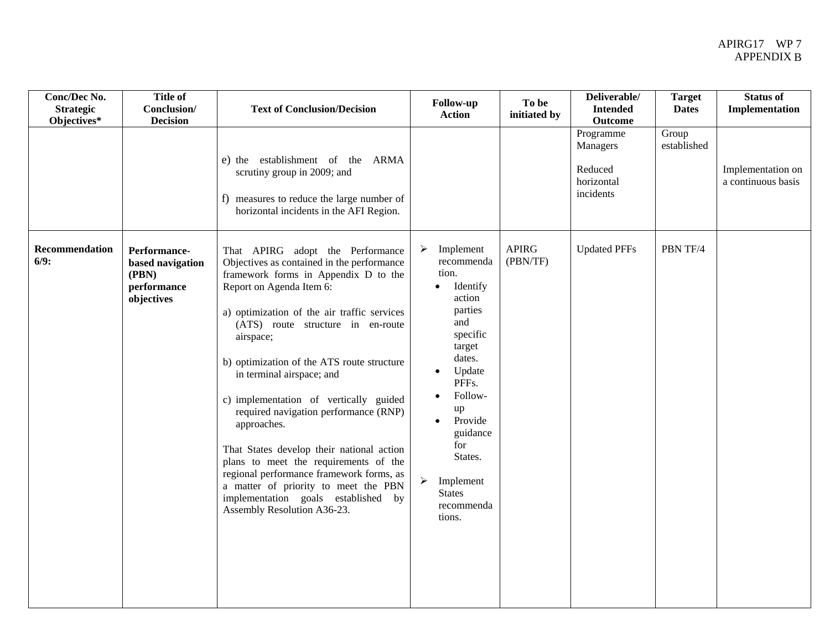| Conc/Dec No.<br><b>Strategic</b><br>Objectives* | <b>Title of</b><br>Conclusion/<br><b>Decision</b>                      | <b>Text of Conclusion/Decision</b>                                                                                                                                                                                                                                                                                                                                                                                                                                                                                                                                                                                                                                               | Follow-up<br><b>Action</b>                                                                                                                                                                                                                                                                                  | To be<br>initiated by    | Deliverable/<br><b>Intended</b><br><b>Outcome</b>           | <b>Target</b><br><b>Dates</b> | Status of<br>Implementation             |
|-------------------------------------------------|------------------------------------------------------------------------|----------------------------------------------------------------------------------------------------------------------------------------------------------------------------------------------------------------------------------------------------------------------------------------------------------------------------------------------------------------------------------------------------------------------------------------------------------------------------------------------------------------------------------------------------------------------------------------------------------------------------------------------------------------------------------|-------------------------------------------------------------------------------------------------------------------------------------------------------------------------------------------------------------------------------------------------------------------------------------------------------------|--------------------------|-------------------------------------------------------------|-------------------------------|-----------------------------------------|
|                                                 |                                                                        | e) the establishment of the ARMA<br>scrutiny group in 2009; and<br>f) measures to reduce the large number of<br>horizontal incidents in the AFI Region.                                                                                                                                                                                                                                                                                                                                                                                                                                                                                                                          |                                                                                                                                                                                                                                                                                                             |                          | Programme<br>Managers<br>Reduced<br>horizontal<br>incidents | Group<br>established          | Implementation on<br>a continuous basis |
| Recommendation<br>6/9:                          | Performance-<br>based navigation<br>(PBN)<br>performance<br>objectives | That APIRG adopt the Performance<br>Objectives as contained in the performance<br>framework forms in Appendix D to the<br>Report on Agenda Item 6:<br>a) optimization of the air traffic services<br>(ATS) route structure in en-route<br>airspace;<br>b) optimization of the ATS route structure<br>in terminal airspace; and<br>c) implementation of vertically guided<br>required navigation performance (RNP)<br>approaches.<br>That States develop their national action<br>plans to meet the requirements of the<br>regional performance framework forms, as<br>a matter of priority to meet the PBN<br>implementation goals established by<br>Assembly Resolution A36-23. | Implement<br>recommenda<br>tion.<br>Identify<br>$\bullet$<br>action<br>parties<br>and<br>specific<br>target<br>dates.<br>Update<br>$\bullet$<br>PFFs.<br>Follow-<br>up<br>Provide<br>$\bullet$<br>guidance<br>for<br>States.<br>$\blacktriangleright$<br>Implement<br><b>States</b><br>recommenda<br>tions. | <b>APIRG</b><br>(PBN/TF) | <b>Updated PFFs</b>                                         | PBN TF/4                      |                                         |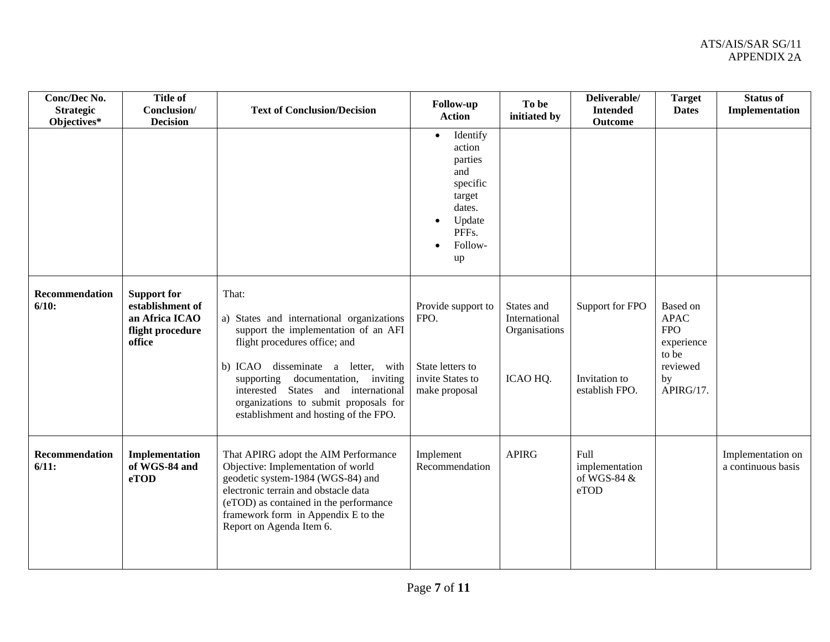| Conc/Dec No.<br><b>Strategic</b><br>Objectives* | <b>Title of</b><br>Conclusion/<br><b>Decision</b>                                      | <b>Text of Conclusion/Decision</b>                                                                                                                                                                                                                                                                                                     | <b>Follow-up</b><br><b>Action</b><br>Identify<br>$\bullet$<br>action<br>parties<br>and<br>specific<br>target<br>dates.<br>Update<br>$\bullet$<br>PFFs.<br>Follow-<br>$\bullet$<br>up | To be<br>initiated by                                    | Deliverable/<br><b>Intended</b><br><b>Outcome</b>  | <b>Target</b><br><b>Dates</b>                                                               | <b>Status of</b><br>Implementation      |
|-------------------------------------------------|----------------------------------------------------------------------------------------|----------------------------------------------------------------------------------------------------------------------------------------------------------------------------------------------------------------------------------------------------------------------------------------------------------------------------------------|--------------------------------------------------------------------------------------------------------------------------------------------------------------------------------------|----------------------------------------------------------|----------------------------------------------------|---------------------------------------------------------------------------------------------|-----------------------------------------|
| Recommendation<br>6/10:                         | <b>Support for</b><br>establishment of<br>an Africa ICAO<br>flight procedure<br>office | That:<br>a) States and international organizations<br>support the implementation of an AFI<br>flight procedures office; and<br>disseminate a letter, with<br>b) ICAO<br>documentation, inviting<br>supporting<br>interested States and international<br>organizations to submit proposals for<br>establishment and hosting of the FPO. | Provide support to<br>FPO.<br>State letters to<br>invite States to<br>make proposal                                                                                                  | States and<br>International<br>Organisations<br>ICAO HQ. | Support for FPO<br>Invitation to<br>establish FPO. | Based on<br><b>APAC</b><br><b>FPO</b><br>experience<br>to be<br>reviewed<br>by<br>APIRG/17. |                                         |
| Recommendation<br>6/11:                         | Implementation<br>of WGS-84 and<br>eTOD                                                | That APIRG adopt the AIM Performance<br>Objective: Implementation of world<br>geodetic system-1984 (WGS-84) and<br>electronic terrain and obstacle data<br>(eTOD) as contained in the performance<br>framework form in Appendix E to the<br>Report on Agenda Item 6.                                                                   | Implement<br>Recommendation                                                                                                                                                          | <b>APIRG</b>                                             | Full<br>implementation<br>of WGS-84 &<br>eTOD      |                                                                                             | Implementation on<br>a continuous basis |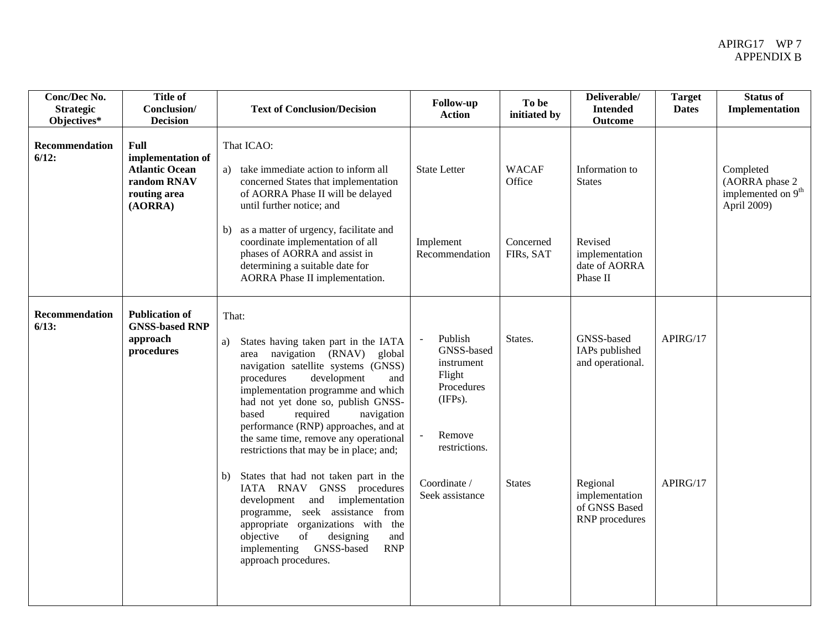| Conc/Dec No.<br><b>Strategic</b><br>Objectives* | <b>Title of</b><br>Conclusion/<br><b>Decision</b>                                            | <b>Text of Conclusion/Decision</b>                                                                                                                                                                                                                                                                                                                                                                                                                                                                                                                                                                                                                                                                                    | <b>Follow-up</b><br><b>Action</b>                                                                                                    | To be<br>initiated by    | Deliverable/<br><b>Intended</b><br>Outcome                                                                        | <b>Target</b><br><b>Dates</b> | <b>Status of</b><br>Implementation                                           |
|-------------------------------------------------|----------------------------------------------------------------------------------------------|-----------------------------------------------------------------------------------------------------------------------------------------------------------------------------------------------------------------------------------------------------------------------------------------------------------------------------------------------------------------------------------------------------------------------------------------------------------------------------------------------------------------------------------------------------------------------------------------------------------------------------------------------------------------------------------------------------------------------|--------------------------------------------------------------------------------------------------------------------------------------|--------------------------|-------------------------------------------------------------------------------------------------------------------|-------------------------------|------------------------------------------------------------------------------|
| Recommendation<br>6/12:                         | Full<br>implementation of<br><b>Atlantic Ocean</b><br>random RNAV<br>routing area<br>(AORRA) | That ICAO:<br>a) take immediate action to inform all<br>concerned States that implementation<br>of AORRA Phase II will be delayed<br>until further notice; and                                                                                                                                                                                                                                                                                                                                                                                                                                                                                                                                                        | <b>State Letter</b>                                                                                                                  | <b>WACAF</b><br>Office   | Information to<br><b>States</b>                                                                                   |                               | Completed<br>(AORRA phase 2<br>implemented on 9 <sup>th</sup><br>April 2009) |
|                                                 |                                                                                              | b) as a matter of urgency, facilitate and<br>coordinate implementation of all<br>phases of AORRA and assist in<br>determining a suitable date for<br>AORRA Phase II implementation.                                                                                                                                                                                                                                                                                                                                                                                                                                                                                                                                   | Implement<br>Recommendation                                                                                                          | Concerned<br>FIRs, SAT   | Revised<br>implementation<br>date of AORRA<br>Phase II                                                            |                               |                                                                              |
| Recommendation<br>6/13:                         | <b>Publication of</b><br><b>GNSS-based RNP</b><br>approach<br>procedures                     | That:<br>States having taken part in the IATA<br>a)<br>navigation (RNAV)<br>global<br>area<br>navigation satellite systems (GNSS)<br>development<br>procedures<br>and<br>implementation programme and which<br>had not yet done so, publish GNSS-<br>based<br>required<br>navigation<br>performance (RNP) approaches, and at<br>the same time, remove any operational<br>restrictions that may be in place; and;<br>States that had not taken part in the<br>b)<br>IATA RNAV GNSS procedures<br>implementation<br>development and<br>programme, seek assistance from<br>appropriate organizations with the<br>objective<br>of<br>designing<br>and<br>GNSS-based<br><b>RNP</b><br>implementing<br>approach procedures. | Publish<br>GNSS-based<br>instrument<br>Flight<br>Procedures<br>(IFPs).<br>Remove<br>restrictions.<br>Coordinate /<br>Seek assistance | States.<br><b>States</b> | GNSS-based<br>IAPs published<br>and operational.<br>Regional<br>implementation<br>of GNSS Based<br>RNP procedures | APIRG/17<br>APIRG/17          |                                                                              |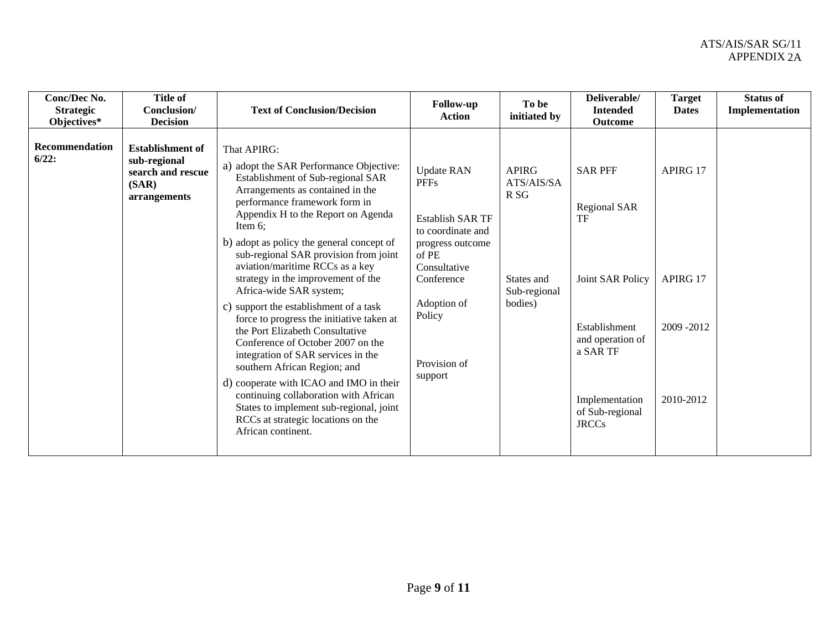| Conc/Dec No.<br><b>Strategic</b><br>Objectives* | <b>Title of</b><br>Conclusion/<br><b>Decision</b>                                     | <b>Text of Conclusion/Decision</b>                                                                                                                                                                                                                                                                                                                                                                                                                                                                                                                                                                                                                                                                                                                                                                                                             | <b>Follow-up</b><br><b>Action</b>                                                                                                                                                               | To be<br>initiated by                                                                  | Deliverable/<br><b>Intended</b><br>Outcome                                                                                                                     | <b>Target</b><br><b>Dates</b>                  | <b>Status of</b><br>Implementation |
|-------------------------------------------------|---------------------------------------------------------------------------------------|------------------------------------------------------------------------------------------------------------------------------------------------------------------------------------------------------------------------------------------------------------------------------------------------------------------------------------------------------------------------------------------------------------------------------------------------------------------------------------------------------------------------------------------------------------------------------------------------------------------------------------------------------------------------------------------------------------------------------------------------------------------------------------------------------------------------------------------------|-------------------------------------------------------------------------------------------------------------------------------------------------------------------------------------------------|----------------------------------------------------------------------------------------|----------------------------------------------------------------------------------------------------------------------------------------------------------------|------------------------------------------------|------------------------------------|
| <b>Recommendation</b><br>6/22:                  | <b>Establishment of</b><br>sub-regional<br>search and rescue<br>(SAR)<br>arrangements | That APIRG:<br>a) adopt the SAR Performance Objective:<br>Establishment of Sub-regional SAR<br>Arrangements as contained in the<br>performance framework form in<br>Appendix H to the Report on Agenda<br>Item $6$ ;<br>b) adopt as policy the general concept of<br>sub-regional SAR provision from joint<br>aviation/maritime RCCs as a key<br>strategy in the improvement of the<br>Africa-wide SAR system;<br>c) support the establishment of a task<br>force to progress the initiative taken at<br>the Port Elizabeth Consultative<br>Conference of October 2007 on the<br>integration of SAR services in the<br>southern African Region; and<br>d) cooperate with ICAO and IMO in their<br>continuing collaboration with African<br>States to implement sub-regional, joint<br>RCCs at strategic locations on the<br>African continent. | <b>Update RAN</b><br><b>PFFs</b><br><b>Establish SAR TF</b><br>to coordinate and<br>progress outcome<br>of PE<br>Consultative<br>Conference<br>Adoption of<br>Policy<br>Provision of<br>support | <b>APIRG</b><br>ATS/AIS/SA<br>R <sub>SG</sub><br>States and<br>Sub-regional<br>bodies) | <b>SAR PFF</b><br>Regional SAR<br>TF<br>Joint SAR Policy<br>Establishment<br>and operation of<br>a SAR TF<br>Implementation<br>of Sub-regional<br><b>JRCCs</b> | APIRG 17<br>APIRG 17<br>2009-2012<br>2010-2012 |                                    |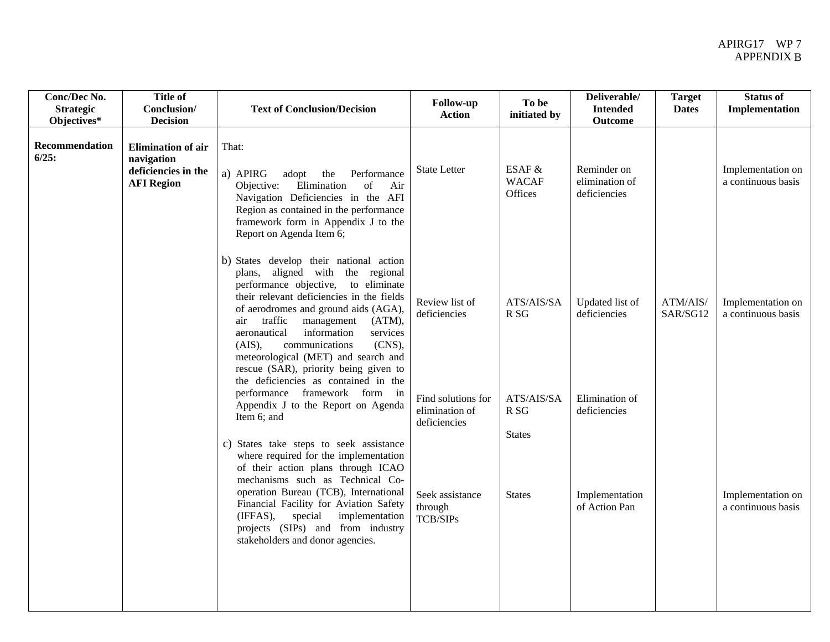| Conc/Dec No.<br><b>Strategic</b><br>Objectives* | <b>Title of</b><br>Conclusion/<br><b>Decision</b>                                   | <b>Text of Conclusion/Decision</b>                                                                                                                                                                                                                                                                                                                                                                                                                         | <b>Follow-up</b><br><b>Action</b>                    | To be<br>initiated by             | Deliverable/<br><b>Intended</b><br><b>Outcome</b> | <b>Target</b><br><b>Dates</b> | <b>Status of</b><br>Implementation      |
|-------------------------------------------------|-------------------------------------------------------------------------------------|------------------------------------------------------------------------------------------------------------------------------------------------------------------------------------------------------------------------------------------------------------------------------------------------------------------------------------------------------------------------------------------------------------------------------------------------------------|------------------------------------------------------|-----------------------------------|---------------------------------------------------|-------------------------------|-----------------------------------------|
| <b>Recommendation</b><br>6/25:                  | <b>Elimination of air</b><br>navigation<br>deficiencies in the<br><b>AFI Region</b> | That:<br>a) APIRG<br>adopt<br>the<br>Performance<br>Elimination<br>of<br>Objective:<br>Air<br>Navigation Deficiencies in the AFI<br>Region as contained in the performance<br>framework form in Appendix J to the<br>Report on Agenda Item 6;                                                                                                                                                                                                              | <b>State Letter</b>                                  | ESAF &<br><b>WACAF</b><br>Offices | Reminder on<br>elimination of<br>deficiencies     |                               | Implementation on<br>a continuous basis |
|                                                 |                                                                                     | b) States develop their national action<br>plans, aligned with the regional<br>performance objective, to eliminate<br>their relevant deficiencies in the fields<br>of aerodromes and ground aids (AGA),<br>traffic<br>management<br>(ATM),<br>air<br>aeronautical<br>information<br>services<br>communications<br>(CNS),<br>(AIS),<br>meteorological (MET) and search and<br>rescue (SAR), priority being given to<br>the deficiencies as contained in the | Review list of<br>deficiencies                       | ATS/AIS/SA<br>R <sub>SG</sub>     | Updated list of<br>deficiencies                   | ATM/AIS/<br>SAR/SG12          | Implementation on<br>a continuous basis |
|                                                 |                                                                                     | performance framework form in<br>Appendix J to the Report on Agenda<br>Item 6; and                                                                                                                                                                                                                                                                                                                                                                         | Find solutions for<br>elimination of<br>deficiencies | ATS/AIS/SA<br>R <sub>SG</sub>     | Elimination of<br>deficiencies                    |                               |                                         |
|                                                 |                                                                                     | c) States take steps to seek assistance<br>where required for the implementation<br>of their action plans through ICAO<br>mechanisms such as Technical Co-<br>operation Bureau (TCB), International<br>Financial Facility for Aviation Safety<br>(IFFAS),<br>special<br>implementation<br>projects (SIPs) and from industry<br>stakeholders and donor agencies.                                                                                            | Seek assistance<br>through<br><b>TCB/SIPs</b>        | <b>States</b><br><b>States</b>    | Implementation<br>of Action Pan                   |                               | Implementation on<br>a continuous basis |